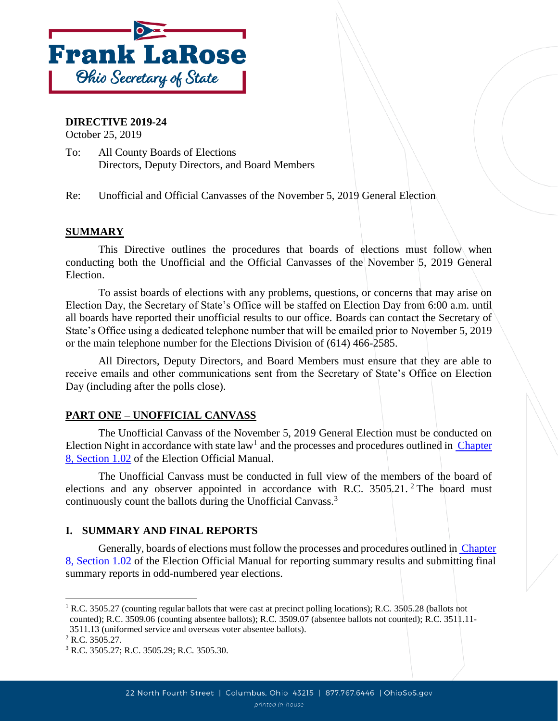

### **DIRECTIVE 2019-24**

October 25, 2019

To: All County Boards of Elections Directors, Deputy Directors, and Board Members

Re: Unofficial and Official Canvasses of the November 5, 2019 General Election

### **SUMMARY**

This Directive outlines the procedures that boards of elections must follow when conducting both the Unofficial and the Official Canvasses of the November 5, 2019 General Election.

To assist boards of elections with any problems, questions, or concerns that may arise on Election Day, the Secretary of State's Office will be staffed on Election Day from 6:00 a.m. until all boards have reported their unofficial results to our office. Boards can contact the Secretary of State's Office using a dedicated telephone number that will be emailed prior to November 5, 2019 or the main telephone number for the Elections Division of (614) 466-2585.

All Directors, Deputy Directors, and Board Members must ensure that they are able to receive emails and other communications sent from the Secretary of State's Office on Election Day (including after the polls close).

## **PART ONE – UNOFFICIAL CANVASS**

The Unofficial Canvass of the November 5, 2019 General Election must be conducted on Election Night in accordance with state law<sup>1</sup> and the processes and procedures outlined in Chapter [8, Section 1.02](https://www.sos.state.oh.us/globalassets/elections/directives/2017/dir2017-13_eom_ch_08.pdf) of the Election Official Manual.

The Unofficial Canvass must be conducted in full view of the members of the board of elections and any observer appointed in accordance with R.C.  $3505.21$ . <sup>2</sup> The board must continuously count the ballots during the Unofficial Canvass.<sup>3</sup>

## **I. SUMMARY AND FINAL REPORTS**

Generally, boards of elections must follow the processes and procedures outlined in Chapter [8, Section 1.02](https://www.ohiosos.gov/globalassets/elections/directives/2019/dir2019-16_eom_ch_08.pdf) of the Election Official Manual for reporting summary results and submitting final summary reports in odd-numbered year elections.

l

<sup>&</sup>lt;sup>1</sup> R.C. 3505.27 (counting regular ballots that were cast at precinct polling locations); R.C. 3505.28 (ballots not counted); R.C. 3509.06 (counting absentee ballots); R.C. 3509.07 (absentee ballots not counted); R.C. 3511.11- 3511.13 (uniformed service and overseas voter absentee ballots).

<sup>2</sup> R.C. 3505.27.

<sup>3</sup> R.C. 3505.27; R.C. 3505.29; R.C. 3505.30.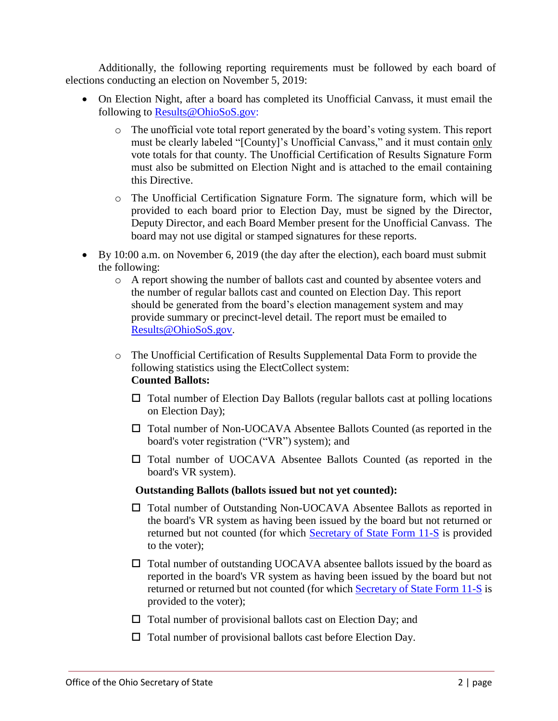Additionally, the following reporting requirements must be followed by each board of elections conducting an election on November 5, 2019:

- On Election Night, after a board has completed its Unofficial Canvass, it must email the following to [Results@OhioSoS.gov:](mailto:Results@OhioSoS.gov)
	- o The unofficial vote total report generated by the board's voting system. This report must be clearly labeled "[County]'s Unofficial Canvass," and it must contain only vote totals for that county. The Unofficial Certification of Results Signature Form must also be submitted on Election Night and is attached to the email containing this Directive.
	- o The Unofficial Certification Signature Form. The signature form, which will be provided to each board prior to Election Day, must be signed by the Director, Deputy Director, and each Board Member present for the Unofficial Canvass. The board may not use digital or stamped signatures for these reports.
- By 10:00 a.m. on November 6, 2019 (the day after the election), each board must submit the following:
	- o A report showing the number of ballots cast and counted by absentee voters and the number of regular ballots cast and counted on Election Day. This report should be generated from the board's election management system and may provide summary or precinct-level detail. The report must be emailed to [Results@OhioSoS.gov.](mailto:Results@OhioSoS.gov)
	- o The Unofficial Certification of Results Supplemental Data Form to provide the following statistics using the ElectCollect system: **Counted Ballots:**
		- $\Box$  Total number of Election Day Ballots (regular ballots cast at polling locations on Election Day);
		- Total number of Non-UOCAVA Absentee Ballots Counted (as reported in the board's voter registration ("VR") system); and
		- Total number of UOCAVA Absentee Ballots Counted (as reported in the board's VR system).

## **Outstanding Ballots (ballots issued but not yet counted):**

- Total number of Outstanding Non-UOCAVA Absentee Ballots as reported in the board's VR system as having been issued by the board but not returned or returned but not counted (for which [Secretary of State Form 11-S](https://www.sos.state.oh.us/globalassets/elections/forms/11-s.pdf) is provided to the voter);
- $\Box$  Total number of outstanding UOCAVA absentee ballots issued by the board as reported in the board's VR system as having been issued by the board but not returned or returned but not counted (for which [Secretary of State Form 11-S](https://www.sos.state.oh.us/globalassets/elections/forms/11-s.pdf) is provided to the voter);
- $\Box$  Total number of provisional ballots cast on Election Day; and
- $\Box$  Total number of provisional ballots cast before Election Day.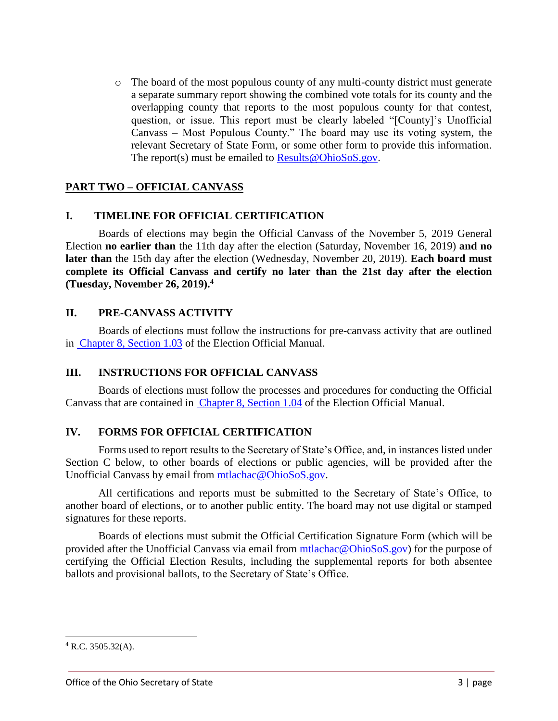o The board of the most populous county of any multi-county district must generate a separate summary report showing the combined vote totals for its county and the overlapping county that reports to the most populous county for that contest, question, or issue. This report must be clearly labeled "[County]'s Unofficial Canvass – Most Populous County." The board may use its voting system, the relevant Secretary of State Form, or some other form to provide this information. The report(s) must be emailed to [Results@OhioSoS.gov.](mailto:Results@OhioSoS.gov)

## **PART TWO – OFFICIAL CANVASS**

### **I. TIMELINE FOR OFFICIAL CERTIFICATION**

Boards of elections may begin the Official Canvass of the November 5, 2019 General Election **no earlier than** the 11th day after the election (Saturday, November 16, 2019) **and no later than** the 15th day after the election (Wednesday, November 20, 2019). **Each board must complete its Official Canvass and certify no later than the 21st day after the election (Tuesday, November 26, 2019). 4**

### **II. PRE-CANVASS ACTIVITY**

Boards of elections must follow the instructions for pre-canvass activity that are outlined in [Chapter 8, Section 1.03](https://www.ohiosos.gov/globalassets/elections/directives/2019/dir2019-16_eom_ch_08.pdf) of the Election Official Manual.

#### **III. INSTRUCTIONS FOR OFFICIAL CANVASS**

Boards of elections must follow the processes and procedures for conducting the Official Canvass that are contained in [Chapter 8, Section 1.04](https://www.ohiosos.gov/globalassets/elections/directives/2019/dir2019-16_eom_ch_08.pdf) of the Election Official Manual.

#### **IV. FORMS FOR OFFICIAL CERTIFICATION**

Forms used to report results to the Secretary of State's Office, and, in instances listed under Section C below, to other boards of elections or public agencies, will be provided after the Unofficial Canvass by email from [mtlachac@OhioSoS.gov.](mailto:mtlachac@OhioSoS.gov)

All certifications and reports must be submitted to the Secretary of State's Office, to another board of elections, or to another public entity. The board may not use digital or stamped signatures for these reports.

Boards of elections must submit the Official Certification Signature Form (which will be provided after the Unofficial Canvass via email from [mtlachac@OhioSoS.gov\)](mailto:mtlachac@OhioSoS.gov) for the purpose of certifying the Official Election Results, including the supplemental reports for both absentee ballots and provisional ballots, to the Secretary of State's Office.

l

 $4$  R.C. 3505.32(A).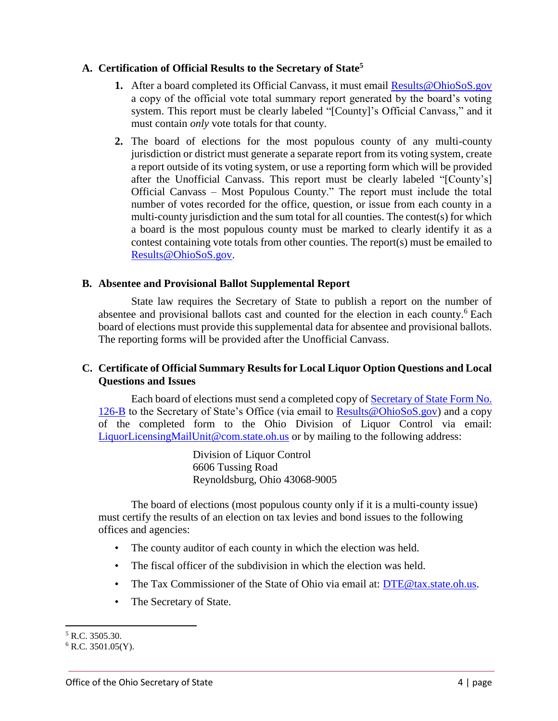### **A. Certification of Official Results to the Secretary of State<sup>5</sup>**

- **1.** After a board completed its Official Canvass, it must email [Results@OhioSoS.gov](mailto:Results@OhioSoS.gov) a copy of the official vote total summary report generated by the board's voting system. This report must be clearly labeled "[County]'s Official Canvass," and it must contain *only* vote totals for that county.
- **2.** The board of elections for the most populous county of any multi-county jurisdiction or district must generate a separate report from its voting system, create a report outside of its voting system, or use a reporting form which will be provided after the Unofficial Canvass. This report must be clearly labeled "[County's] Official Canvass – Most Populous County." The report must include the total number of votes recorded for the office, question, or issue from each county in a multi-county jurisdiction and the sum total for all counties. The contest(s) for which a board is the most populous county must be marked to clearly identify it as a contest containing vote totals from other counties. The report(s) must be emailed to [Results@OhioSoS.gov.](mailto:Results@OhioSoS.gov)

### **B. Absentee and Provisional Ballot Supplemental Report**

State law requires the Secretary of State to publish a report on the number of absentee and provisional ballots cast and counted for the election in each county. <sup>6</sup> Each board of elections must provide this supplemental data for absentee and provisional ballots. The reporting forms will be provided after the Unofficial Canvass.

## **C. Certificate of Official Summary Results for Local Liquor Option Questions and Local Questions and Issues**

Each board of elections must send a completed copy of [Secretary of State Form No.](https://www.sos.state.oh.us/elections/elections-officials/forms-petitions/?_t_id=1B2M2Y8AsgTpgAmY7PhCfg%3d%3d&_t_q=Sos+forms&_t_tags=language%3aen&_t_ip=10.238.157.109&_t_hit.id=SOS_Web_Models_Pages_ChildPage/_26620951-d25c-4024-b604-41aa6722d1ec_en&_t_hit.pos=1)  [126-B](https://www.sos.state.oh.us/elections/elections-officials/forms-petitions/?_t_id=1B2M2Y8AsgTpgAmY7PhCfg%3d%3d&_t_q=Sos+forms&_t_tags=language%3aen&_t_ip=10.238.157.109&_t_hit.id=SOS_Web_Models_Pages_ChildPage/_26620951-d25c-4024-b604-41aa6722d1ec_en&_t_hit.pos=1) to the Secretary of State's Office (via email to [Results@OhioSoS.gov\)](mailto:results@ohiosecretaryofstate.gov) and a copy of the completed form to the Ohio Division of Liquor Control via email: [LiquorLicensingMailUnit@com.state.oh.us](mailto:LiquorLicensingMailUnit@com.state.oh.us) or by mailing to the following address:

> Division of Liquor Control 6606 Tussing Road Reynoldsburg, Ohio 43068-9005

The board of elections (most populous county only if it is a multi-county issue) must certify the results of an election on tax levies and bond issues to the following offices and agencies:

- The county auditor of each county in which the election was held.
- The fiscal officer of the subdivision in which the election was held.
- The Tax Commissioner of the State of Ohio via email at: DTE@tax.state.oh.us.
- The Secretary of State.

 $\overline{\phantom{a}}$ 

<sup>5</sup> R.C. 3505.30.

 $6$  R.C. 3501.05(Y).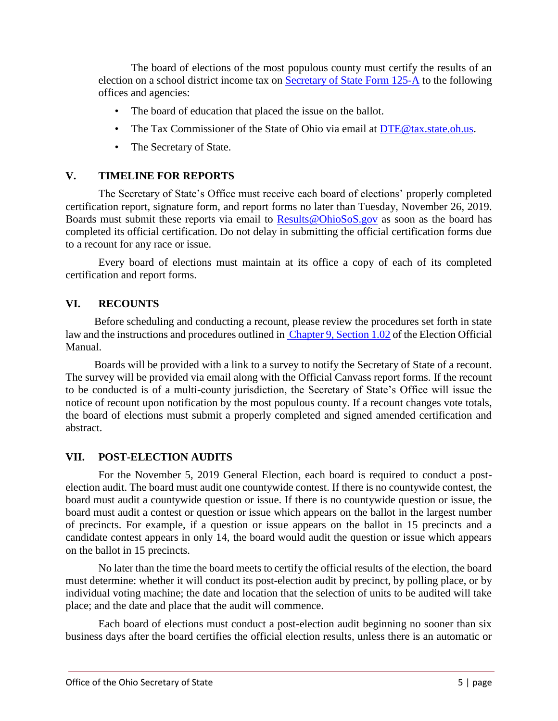The board of elections of the most populous county must certify the results of an election on a school district income tax on [Secretary of State Form 125-A](https://www.sos.state.oh.us/globalassets/elections/forms/125-a.pdf) to the following offices and agencies:

- The board of education that placed the issue on the ballot.
- The Tax Commissioner of the State of Ohio via email at DTE@tax.state.oh.us.
- The Secretary of State.

# **V. TIMELINE FOR REPORTS**

The Secretary of State's Office must receive each board of elections' properly completed certification report, signature form, and report forms no later than Tuesday, November 26, 2019. Boards must submit these reports via email to [Results@OhioSoS.gov](mailto:Results@OhioSoS.gov) as soon as the board has completed its official certification. Do not delay in submitting the official certification forms due to a recount for any race or issue.

Every board of elections must maintain at its office a copy of each of its completed certification and report forms.

## **VI. RECOUNTS**

Before scheduling and conducting a recount, please review the procedures set forth in state law and the instructions and procedures outlined in [Chapter 9, Section 1.02](https://www.sos.state.oh.us/globalassets/elections/directives/2017/dir2017-14_eom_ch_09.pdf) of the Election Official Manual.

Boards will be provided with a link to a survey to notify the Secretary of State of a recount. The survey will be provided via email along with the Official Canvass report forms. If the recount to be conducted is of a multi-county jurisdiction, the Secretary of State's Office will issue the notice of recount upon notification by the most populous county. If a recount changes vote totals, the board of elections must submit a properly completed and signed amended certification and abstract.

## **VII. POST-ELECTION AUDITS**

For the November 5, 2019 General Election, each board is required to conduct a postelection audit. The board must audit one countywide contest. If there is no countywide contest, the board must audit a countywide question or issue. If there is no countywide question or issue, the board must audit a contest or question or issue which appears on the ballot in the largest number of precincts. For example, if a question or issue appears on the ballot in 15 precincts and a candidate contest appears in only 14, the board would audit the question or issue which appears on the ballot in 15 precincts.

No later than the time the board meets to certify the official results of the election, the board must determine: whether it will conduct its post-election audit by precinct, by polling place, or by individual voting machine; the date and location that the selection of units to be audited will take place; and the date and place that the audit will commence.

Each board of elections must conduct a post-election audit beginning no sooner than six business days after the board certifies the official election results, unless there is an automatic or